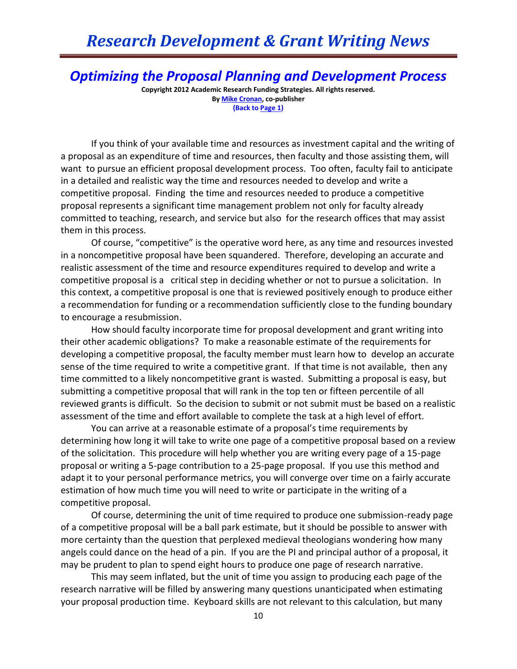## *Research Development & Grant Writing News*

*Optimizing the Proposal Planning and Development Process*

**Copyright 2012 Academic Research Funding Strategies. All rights reserved. B[y Mike Cronan,](mailto:mjcronan@gmail.com) co-publisher (Back to Page 1)**

If you think of your available time and resources as investment capital and the writing of a proposal as an expenditure of time and resources, then faculty and those assisting them, will want to pursue an efficient proposal development process. Too often, faculty fail to anticipate in a detailed and realistic way the time and resources needed to develop and write a competitive proposal. Finding the time and resources needed to produce a competitive proposal represents a significant time management problem not only for faculty already committed to teaching, research, and service but also for the research offices that may assist them in this process.

Of course, "competitive" is the operative word here, as any time and resources invested in a noncompetitive proposal have been squandered. Therefore, developing an accurate and realistic assessment of the time and resource expenditures required to develop and write a competitive proposal is a critical step in deciding whether or not to pursue a solicitation. In this context, a competitive proposal is one that is reviewed positively enough to produce either a recommendation for funding or a recommendation sufficiently close to the funding boundary to encourage a resubmission.

How should faculty incorporate time for proposal development and grant writing into their other academic obligations? To make a reasonable estimate of the requirements for developing a competitive proposal, the faculty member must learn how to develop an accurate sense of the time required to write a competitive grant. If that time is not available, then any time committed to a likely noncompetitive grant is wasted. Submitting a proposal is easy, but submitting a competitive proposal that will rank in the top ten or fifteen percentile of all reviewed grants is difficult. So the decision to submit or not submit must be based on a realistic assessment of the time and effort available to complete the task at a high level of effort.

You can arrive at a reasonable estimate of a proposal's time requirements by determining how long it will take to write one page of a competitive proposal based on a review of the solicitation. This procedure will help whether you are writing every page of a 15-page proposal or writing a 5-page contribution to a 25-page proposal. If you use this method and adapt it to your personal performance metrics, you will converge over time on a fairly accurate estimation of how much time you will need to write or participate in the writing of a competitive proposal.

Of course, determining the unit of time required to produce one submission-ready page of a competitive proposal will be a ball park estimate, but it should be possible to answer with more certainty than the question that perplexed medieval theologians wondering how many angels could dance on the head of a pin. If you are the PI and principal author of a proposal, it may be prudent to plan to spend eight hours to produce one page of research narrative.

This may seem inflated, but the unit of time you assign to producing each page of the research narrative will be filled by answering many questions unanticipated when estimating your proposal production time. Keyboard skills are not relevant to this calculation, but many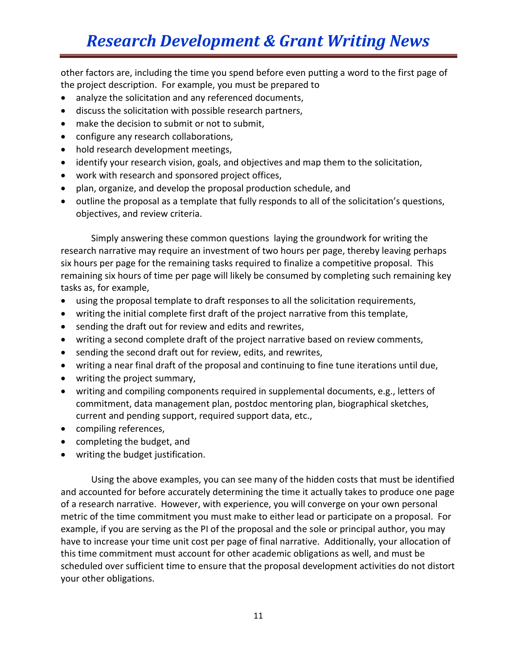## *Research Development & Grant Writing News*

other factors are, including the time you spend before even putting a word to the first page of the project description. For example, you must be prepared to

- analyze the solicitation and any referenced documents,
- discuss the solicitation with possible research partners,
- make the decision to submit or not to submit,
- configure any research collaborations,
- hold research development meetings,
- identify your research vision, goals, and objectives and map them to the solicitation,
- work with research and sponsored project offices,
- plan, organize, and develop the proposal production schedule, and
- outline the proposal as a template that fully responds to all of the solicitation's questions, objectives, and review criteria.

Simply answering these common questions laying the groundwork for writing the research narrative may require an investment of two hours per page, thereby leaving perhaps six hours per page for the remaining tasks required to finalize a competitive proposal. This remaining six hours of time per page will likely be consumed by completing such remaining key tasks as, for example,

- using the proposal template to draft responses to all the solicitation requirements,
- writing the initial complete first draft of the project narrative from this template,
- sending the draft out for review and edits and rewrites,
- writing a second complete draft of the project narrative based on review comments,
- sending the second draft out for review, edits, and rewrites,
- writing a near final draft of the proposal and continuing to fine tune iterations until due,
- writing the project summary,
- writing and compiling components required in supplemental documents, e.g., letters of commitment, data management plan, postdoc mentoring plan, biographical sketches, current and pending support, required support data, etc.,
- compiling references,
- completing the budget, and
- writing the budget justification.

Using the above examples, you can see many of the hidden costs that must be identified and accounted for before accurately determining the time it actually takes to produce one page of a research narrative. However, with experience, you will converge on your own personal metric of the time commitment you must make to either lead or participate on a proposal. For example, if you are serving as the PI of the proposal and the sole or principal author, you may have to increase your time unit cost per page of final narrative. Additionally, your allocation of this time commitment must account for other academic obligations as well, and must be scheduled over sufficient time to ensure that the proposal development activities do not distort your other obligations.